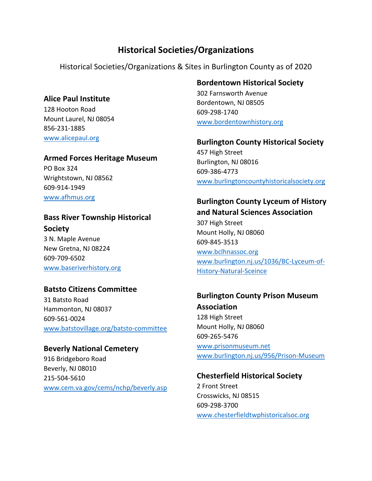# **Historical Societies/Organizations**

Historical Societies/Organizations & Sites in Burlington County as of 2020

#### **Alice Paul Institute**

128 Hooton Road Mount Laurel, NJ 08054 856-231-1885 [www.alicepaul.org](http://www.alicepaul.org/)

#### **Armed Forces Heritage Museum**

PO Box 324 Wrightstown, NJ 08562 609-914-1949 [www.afhmus.org](http://www.afhmus.org/)

## **Bass River Township Historical Society**

3 N. Maple Avenue New Gretna, NJ 08224 609-709-6502 [www.baseriverhistory.org](http://www.baseriverhistory.org/)

#### **Batsto Citizens Committee**

31 Batsto Road Hammonton, NJ 08037 609-561-0024 [www.batstovillage.org/batsto-committee](http://www.batstovillage.org/batsto-committee)

#### **Beverly National Cemetery**

916 Bridgeboro Road Beverly, NJ 08010 215-504-5610 [www.cem.va.gov/cems/nchp/beverly.asp](http://www.cem.va.gov/cems/nchp/beverly.asp)

#### **Bordentown Historical Society**

302 Farnsworth Avenue Bordentown, NJ 08505 609-298-1740 [www.bordentownhistory.org](http://www.bordentownhistory.org/)

#### **Burlington County Historical Society**

457 High Street Burlington, NJ 08016 609-386-4773 [www.burlingtoncountyhistoricalsociety.org](http://www.burlingtoncountyhistoricalsociety.org/)

#### **Burlington County Lyceum of History and Natural Sciences Association**

307 High Street Mount Holly, NJ 08060 609-845-3513 [www.bclhnassoc.org](http://www.bclhnassoc.org/) [www.burlington.nj.us/1036/BC-Lyceum-of-](http://www.burlington.nj.us/1036/BC-Lyceum-of-History-Natural-Sceince)[History-Natural-Sceince](http://www.burlington.nj.us/1036/BC-Lyceum-of-History-Natural-Sceince)

# **Burlington County Prison Museum**

**Association** 128 High Street Mount Holly, NJ 08060 609-265-5476 [www.prisonmuseum.net](http://www.prisonmuseum.net/) [www.burlington.nj.us/956/Prison-Museum](http://www.burlington.nj.us/956/Prison-Museum)

#### **Chesterfield Historical Society**

2 Front Street Crosswicks, NJ 08515 609-298-3700 [www.chesterfieldtwphistoricalsoc.org](http://www.chesterfieldtwphistoricalsoc.org/)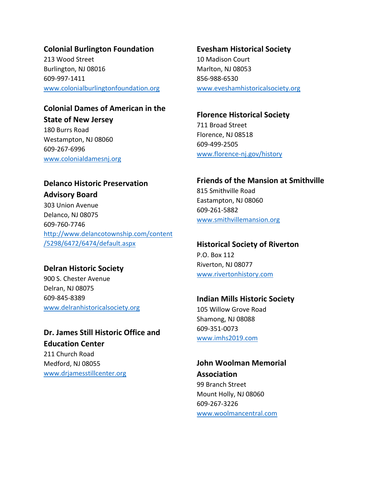#### **Colonial Burlington Foundation**

213 Wood Street Burlington, NJ 08016 609-997-1411 [www.colonialburlingtonfoundation.org](http://www.colonialburlingtonfoundation.org/)

#### **Colonial Dames of American in the State of New Jersey**

180 Burrs Road Westampton, NJ 08060 609-267-6996 [www.colonialdamesnj.org](http://www.colonialdamesnj.org/)

# **Evesham Historical Society**

10 Madison Court Marlton, NJ 08053 856-988-6530 [www.eveshamhistoricalsociety.org](http://www.eveshamhistoricalsociety.org/)

#### **Florence Historical Society**

711 Broad Street Florence, NJ 08518 609-499-2505 [www.florence-nj.gov/history](http://www.florence-nj.gov/history)

## **Delanco Historic Preservation**

**Advisory Board**

303 Union Avenue Delanco, NJ 08075 609-760-7746 [http://www.delancotownship.com/content](http://www.delancotownship.com/content/5298/6472/6474/default.aspx) [/5298/6472/6474/default.aspx](http://www.delancotownship.com/content/5298/6472/6474/default.aspx)

### **Delran Historic Society**

900 S. Chester Avenue Delran, NJ 08075 609-845-8389 [www.delranhistoricalsociety.org](http://www.delranhistoricalsociety.org/)

# **Dr. James Still Historic Office and Education Center**

211 Church Road Medford, NJ 08055 [www.drjamesstillcenter.org](http://www.drjamesstillcenter.org/)

#### **Friends of the Mansion at Smithville**

815 Smithville Road Eastampton, NJ 08060 609-261-5882 [www.smithvillemansion.org](http://www.smithvillemansion.org/)

#### **Historical Society of Riverton**

P.O. Box 112 Riverton, NJ 08077 [www.rivertonhistory.com](http://www.rivertonhistory.com/)

#### **Indian Mills Historic Society**

105 Willow Grove Road Shamong, NJ 08088 609-351-0073 [www.imhs2019.com](http://www.imhs2019.com/)

**John Woolman Memorial Association** 99 Branch Street Mount Holly, NJ 08060 609-267-3226 [www.woolmancentral.com](http://www.woolmancentral.com/)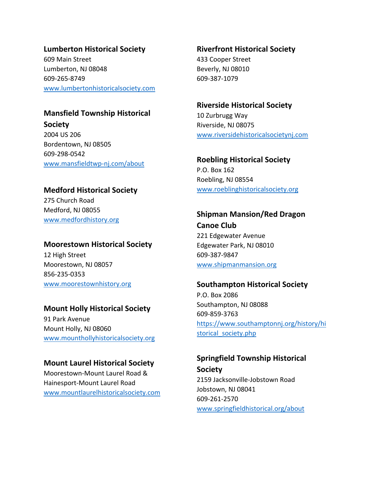#### **Lumberton Historical Society**

609 Main Street Lumberton, NJ 08048 609-265-8749 [www.lumbertonhistoricalsociety.com](http://www.lumbertonhistoricalsociety.com/)

#### **Mansfield Township Historical**

**Society** 2004 US 206 Bordentown, NJ 08505 609-298-0542 [www.mansfieldtwp-nj.com/about](http://www.mansfieldtwp-nj.com/about)

#### **Medford Historical Society**

275 Church Road Medford, NJ 08055 [www.medfordhistory.org](http://www.medfordhistory.org/)

#### **Moorestown Historical Society**

12 High Street Moorestown, NJ 08057 856-235-0353 [www.moorestownhistory.org](http://www.moorestownhistory.org/)

#### **Mount Holly Historical Society**

91 Park Avenue Mount Holly, NJ 08060 [www.mounthollyhistoricalsociety.org](http://www.mounthollyhistoricalsociety.org/)

#### **Mount Laurel Historical Society**

Moorestown-Mount Laurel Road & Hainesport-Mount Laurel Road [www.mountlaurelhistoricalsociety.com](http://www.mountlaurelhistoricalsociety.com/) **Riverfront Historical Society** 433 Cooper Street Beverly, NJ 08010 609-387-1079

#### **Riverside Historical Society**

10 Zurbrugg Way Riverside, NJ 08075 [www.riversidehistoricalsocietynj.com](http://www.riversidehistoricalsocietynj.com/)

**Roebling Historical Society** P.O. Box 162 Roebling, NJ 08554 [www.roeblinghistoricalsociety.org](http://www.roeblinghistoricalsociety.org/)

# **Shipman Mansion/Red Dragon**

**Canoe Club** 221 Edgewater Avenue Edgewater Park, NJ 08010 609-387-9847 [www.shipmanmansion.org](http://www.shipmanmansion.org/)

#### **Southampton Historical Society**

P.O. Box 2086 Southampton, NJ 08088 609-859-3763 [https://www.southamptonnj.org/history/hi](https://www.southamptonnj.org/history/historical_society.php) storical society.php

### **Springfield Township Historical Society** 2159 Jacksonville-Jobstown Road

Jobstown, NJ 08041 609-261-2570 [www.springfieldhistorical.org/about](http://www.springfieldhistorical.org/about)